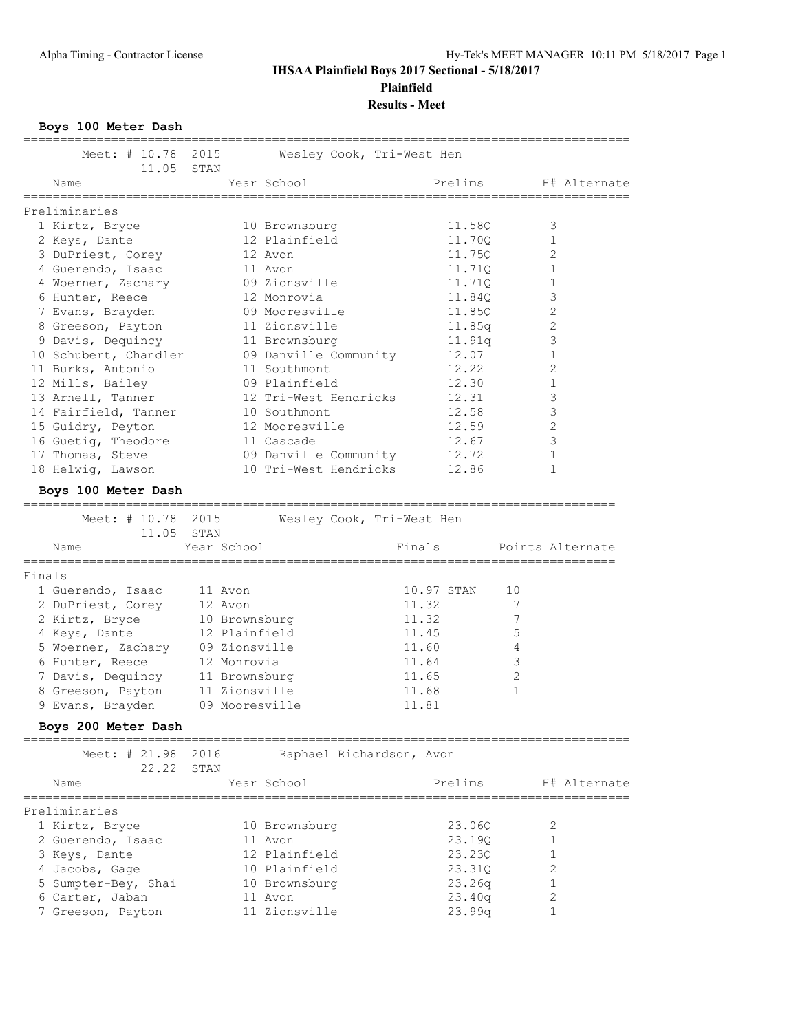# **IHSAA Plainfield Boys 2017 Sectional - 5/18/2017 Plainfield**

**Results - Meet**

**Boys 100 Meter Dash**

|        | Meet: # 10.78<br>11.05                           | 2015<br>STAN                     | Wesley Cook, Tri-West Hen |                                                |
|--------|--------------------------------------------------|----------------------------------|---------------------------|------------------------------------------------|
|        | Name<br>===================                      | Year School<br>=============     | Prelims                   | H# Alternate<br>============================== |
|        | Preliminaries                                    |                                  |                           |                                                |
|        | 1 Kirtz, Bryce                                   | 10 Brownsburg                    | 11.58Q                    | 3                                              |
|        | 2 Keys, Dante                                    | 12 Plainfield                    | 11.70Q                    | 1                                              |
|        | 3 DuPriest, Corey                                | 12 Avon                          | 11.75Q                    | 2                                              |
|        | 4 Guerendo, Isaac                                | 11 Avon                          | 11.71Q                    | 1                                              |
|        | 4 Woerner, Zachary                               | 09 Zionsville                    | 11.71Q                    | 1                                              |
|        | 6 Hunter, Reece                                  | 12 Monrovia                      | 11.84Q                    | 3                                              |
|        | 7 Evans, Brayden                                 | 09 Mooresville                   | 11.85Q                    | 2                                              |
|        | 8 Greeson, Payton                                | 11 Zionsville                    | 11.85q                    | 2                                              |
|        | 9 Davis, Dequincy                                | 11 Brownsburg                    | 11.91q                    | 3                                              |
|        | 10 Schubert, Chandler                            | 09 Danville Community            | 12.07                     | 1                                              |
|        | 11 Burks, Antonio                                | 11 Southmont                     | 12.22                     | 2                                              |
|        |                                                  | 09 Plainfield                    | 12.30                     | 1                                              |
|        | 12 Mills, Bailey<br>13 Arnell, Tanner            |                                  |                           |                                                |
|        |                                                  | 12 Tri-West Hendricks            | 12.31                     | 3                                              |
|        | 14 Fairfield, Tanner                             | 10 Southmont                     | 12.58                     | 3                                              |
|        | 15 Guidry, Peyton                                | 12 Mooresville                   | 12.59                     | 2                                              |
|        | 16 Guetig, Theodore                              | 11 Cascade                       | 12.67                     | 3                                              |
|        | 17 Thomas, Steve                                 | 09 Danville Community            | 12.72                     | 1                                              |
|        | 18 Helwig, Lawson                                | 10 Tri-West Hendricks            | 12.86                     | 1                                              |
|        | Boys 100 Meter Dash<br>------------------------- |                                  |                           |                                                |
|        | Meet: # 10.78 2015                               |                                  | Wesley Cook, Tri-West Hen |                                                |
|        | 11.05 STAN                                       |                                  |                           |                                                |
|        | Name                                             | Year School                      | Finals                    | Points Alternate                               |
| Finals |                                                  |                                  |                           |                                                |
|        |                                                  |                                  |                           |                                                |
|        | 1 Guerendo, Isaac                                | 11 Avon                          | 10.97 STAN                | 10                                             |
|        | 2 DuPriest, Corey                                | 12 Avon                          | 11.32                     | 7                                              |
|        | 2 Kirtz, Bryce                                   | 10 Brownsburg                    | 11.32                     | 7                                              |
|        | 4 Keys, Dante                                    | 12 Plainfield                    | 11.45                     | 5                                              |
|        | 5 Woerner, Zachary 09 Zionsville                 |                                  | 11.60                     | 4                                              |
|        | 6 Hunter, Reece                                  | 12 Monrovia                      | 11.64                     | 3                                              |
|        |                                                  |                                  |                           |                                                |
|        | 7 Davis, Dequincy                                | 11 Brownsburg                    | 11.65                     | $\overline{2}$                                 |
|        | 8 Greeson, Payton                                | 11 Zionsville                    | 11.68                     | 1                                              |
|        | 9 Evans, Brayden                                 | 09 Mooresville                   | 11.81                     |                                                |
|        | Boys 200 Meter Dash                              |                                  |                           |                                                |
|        | Meet: # 21.98                                    | 2016<br>Raphael Richardson, Avon |                           |                                                |
|        | 22.22                                            | STAN                             |                           |                                                |
|        | Name                                             | Year School                      | Prelims                   | H# Alternate                                   |
|        |                                                  |                                  |                           | ===============================                |
|        | Preliminaries                                    |                                  |                           |                                                |
|        | 1 Kirtz, Bryce                                   | 10 Brownsburg                    | 23.06Q                    | 2                                              |
|        | 2 Guerendo, Isaac                                | 11 Avon                          | 23.19Q                    | 1                                              |
|        | 3 Keys, Dante                                    | 12 Plainfield                    | 23.23Q                    | 1                                              |
|        | 4 Jacobs, Gage                                   | 10 Plainfield                    | 23.310                    | 2                                              |
|        | 5 Sumpter-Bey, Shai                              | 10 Brownsburg                    | 23.26q                    | 1                                              |
|        | 6 Carter, Jaban                                  | 11 Avon                          | 23.40q                    | 2                                              |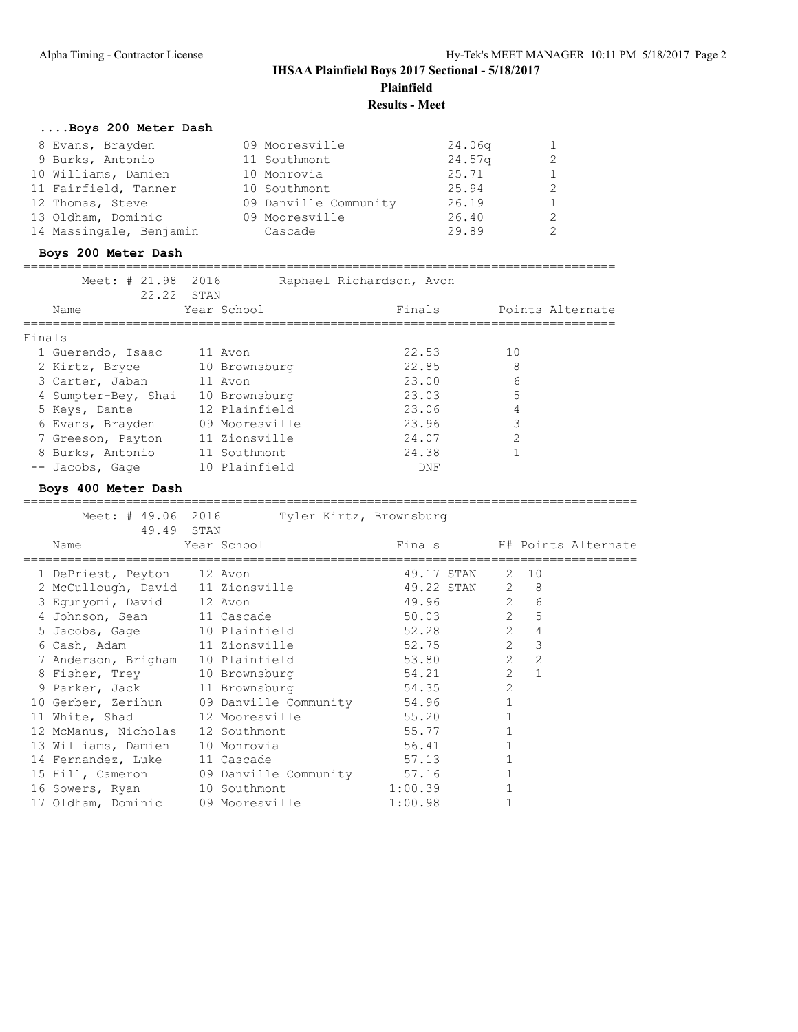# **IHSAA Plainfield Boys 2017 Sectional - 5/18/2017 Plainfield**

**Results - Meet**

====================================================================================

| Boys 200 Meter Dash     |                       |                    |                |
|-------------------------|-----------------------|--------------------|----------------|
| 8 Evans, Brayden        | 09 Mooresville        | 24.06 <sub>q</sub> | $\mathbf{1}$   |
| 9 Burks, Antonio        | 11 Southmont          | 24.57 <sub>q</sub> | $\overline{2}$ |
| 10 Williams, Damien     | 10 Monrovia           | 25.71              | $\mathbf{1}$   |
| 11 Fairfield, Tanner    | 10 Southmont          | 25.94              | $\overline{2}$ |
| 12 Thomas, Steve        | 09 Danville Community | 26.19              | $\mathbf{1}$   |
| 13 Oldham, Dominic      | 09 Mooresville        | 26.40              | $\mathcal{L}$  |
| 14 Massingale, Benjamin | Cascade               | 29.89              | 2              |
|                         |                       |                    |                |

### **Boys 200 Meter Dash**

=================================================================================

|        | Meet: # 21.98 2016<br>22.22 STAN |                | Raphael Richardson, Avon |                  |
|--------|----------------------------------|----------------|--------------------------|------------------|
|        | Name                             | Year School    | Finals                   | Points Alternate |
| Finals |                                  |                |                          |                  |
|        | 1 Guerendo, Isaac                | 11 Avon        | 22.53                    | 10               |
|        | 2 Kirtz, Bryce                   | 10 Brownsburg  | 22.85                    | 8                |
|        | 3 Carter, Jaban                  | 11 Avon        | 23.00                    | 6                |
|        | 4 Sumpter-Bey, Shai              | 10 Brownsburg  | 23.03                    | 5                |
|        | 5 Keys, Dante                    | 12 Plainfield  | 23.06                    | 4                |
|        | 6 Evans, Brayden                 | 09 Mooresville | 23.96                    | 3                |
|        | 7 Greeson, Payton                | 11 Zionsville  | 24.07                    | $\overline{2}$   |
|        | 8 Burks, Antonio                 | 11 Southmont   | 24.38                    |                  |
|        | -- Jacobs, Gage                  | 10 Plainfield  | DNF                      |                  |

### **Boys 400 Meter Dash**

| 49.49 STAN                                   | Meet: # 49.06 2016 Tyler Kirtz, Brownsburg |         |                 |                |                |                            |
|----------------------------------------------|--------------------------------------------|---------|-----------------|----------------|----------------|----------------------------|
| Name                                         | Year School                                |         |                 |                |                | Finals H# Points Alternate |
| 1 DePriest, Peyton 12 Avon                   |                                            |         | 49.17 STAN 2 10 |                |                |                            |
| 2 McCullough, David 11 Zionsville            |                                            |         | 49.22 STAN 2 8  |                |                |                            |
| 3 Egunyomi, David 12 Avon                    |                                            | 49.96   | $\overline{c}$  |                | 6              |                            |
| 4 Johnson, Sean 11 Cascade                   |                                            |         | 50.03 2         |                | 5              |                            |
| 5 Jacobs, Gage 10 Plainfield                 |                                            |         | 52.28           | 2              | $\overline{4}$ |                            |
| 6 Cash, Adam 11 Zionsville                   |                                            |         | 52.75           | $\overline{2}$ | 3              |                            |
| 7 Anderson, Brigham 10 Plainfield            |                                            |         | 53.80           | $\overline{2}$ | $\overline{2}$ |                            |
| 8 Fisher, Trey 10 Brownsburg                 |                                            |         | 54.21           | $\overline{2}$ | $\mathbf{1}$   |                            |
| 9 Parker, Jack 11 Brownsburg                 |                                            |         | 54.35           | $\overline{2}$ |                |                            |
| 10 Gerber, Zerihun 09 Danville Community     |                                            | 54.96   |                 |                |                |                            |
| 11 White, Shad 12 Mooresville                |                                            | 55.20   |                 |                |                |                            |
| 12 McManus, Nicholas 12 Southmont            |                                            | 55.77   |                 |                |                |                            |
| 13 Williams, Damien 10 Monrovia              |                                            | 56.41   |                 |                |                |                            |
| 14 Fernandez, Luke 11 Cascade                |                                            | 57.13   |                 |                |                |                            |
| 15 Hill, Cameron 09 Danville Community 57.16 |                                            |         |                 |                |                |                            |
| 16 Sowers, Ryan 10 Southmont                 |                                            | 1:00.39 |                 |                |                |                            |
| 17 Oldham, Dominic 09 Mooresville            |                                            | 1:00.98 |                 |                |                |                            |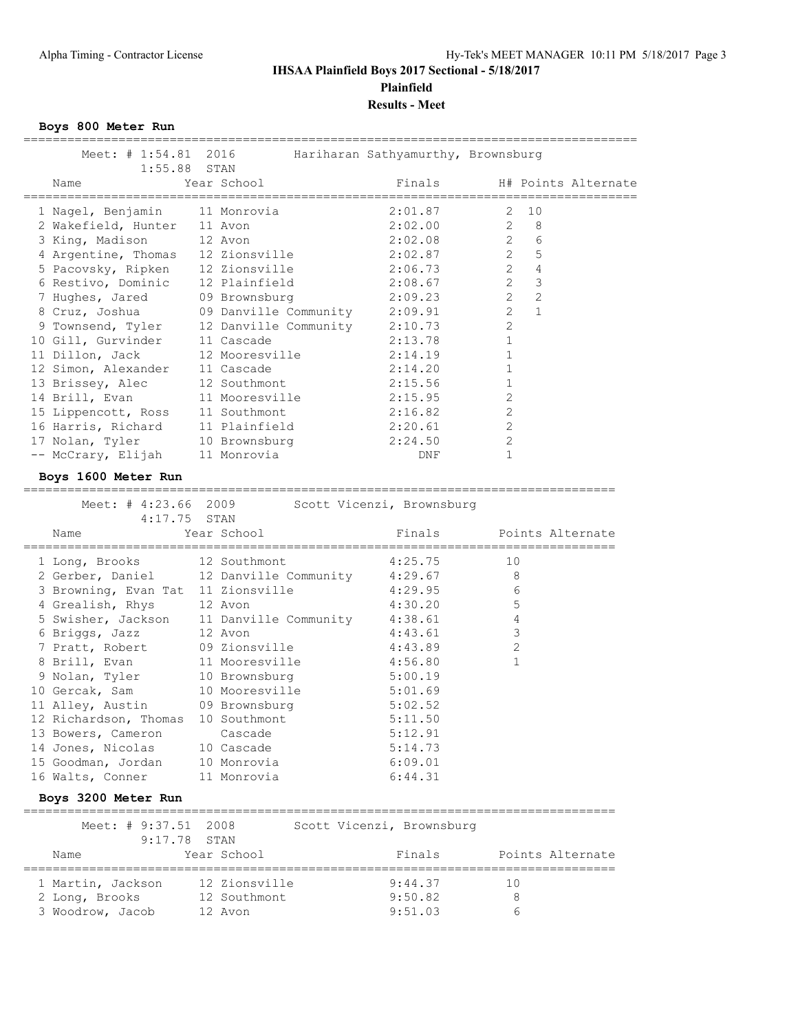# **IHSAA Plainfield Boys 2017 Sectional - 5/18/2017 Plainfield Results - Meet**

**Boys 800 Meter Run**

| Meet: # 1:54.81 2016                               | ==========                               | Hariharan Sathyamurthy, Brownsburg | =================================== |
|----------------------------------------------------|------------------------------------------|------------------------------------|-------------------------------------|
| 1:55.88<br>Name                                    | STAN<br>Year School                      | Finals                             | H# Points Alternate                 |
| 1 Nagel, Benjamin                                  | 11 Monrovia                              | 2:01.87                            | 2<br>10                             |
| 2 Wakefield, Hunter 11 Avon                        |                                          | 2:02.00                            | $\overline{2}$<br>8                 |
| 3 King, Madison                                    | 12 Avon                                  | 2:02.08                            | $\mathbf{2}$<br>6                   |
| 4 Argentine, Thomas 12 Zionsville                  |                                          | 2:02.87                            | $\overline{2}$<br>5                 |
| 5 Pacovsky, Ripken 12 Zionsville                   |                                          | 2:06.73                            | $\overline{2}$<br>$\overline{4}$    |
| 6 Restivo, Dominic                                 | 12 Plainfield                            | 2:08.67                            | $\overline{2}$<br>$\mathcal{S}$     |
| 7 Hughes, Jared                                    | 09 Brownsburg                            | 2:09.23                            | $\overline{2}$<br>2                 |
| 8 Cruz, Joshua                                     | 09 Danville Community                    | 2:09.91                            | $\overline{2}$<br>$\mathbf{1}$      |
| 9 Townsend, Tyler                                  | 12 Danville Community                    | 2:10.73                            | 2                                   |
| 10 Gill, Gurvinder                                 | 11 Cascade                               | 2:13.78                            | $\mathbf{1}$                        |
| 11 Dillon, Jack                                    | 12 Mooresville                           | 2:14.19                            | $\mathbf 1$                         |
| 12 Simon, Alexander                                | 11 Cascade                               | 2:14.20                            | $\mathbf 1$                         |
| 13 Brissey, Alec                                   | 12 Southmont                             | 2:15.56                            | $\mathbf{1}$                        |
| 14 Brill, Evan                                     | 11 Mooresville                           | 2:15.95                            | 2                                   |
| 15 Lippencott, Ross                                | 11 Southmont                             | 2:16.82                            | 2                                   |
| 16 Harris, Richard                                 | 11 Plainfield                            | 2:20.61                            | 2                                   |
| 17 Nolan, Tyler                                    | 10 Brownsburg                            | 2:24.50                            | $\overline{c}$                      |
| -- McCrary, Elijah                                 | 11 Monrovia                              | DNF                                | $\mathbf{1}$                        |
| Boys 1600 Meter Run                                |                                          |                                    |                                     |
| ----------------------------<br>Meet: $\#$ 4:23.66 | 2009                                     | Scott Vicenzi, Brownsburg          |                                     |
| 4:17.75 STAN                                       |                                          |                                    |                                     |
| Name                                               | Year School                              | Finals                             | Points Alternate                    |
| 1 Long, Brooks                                     | 12 Southmont                             | 4:25.75                            | 10                                  |
|                                                    | 2 Gerber, Daniel 12 Danville Community   | 4:29.67                            | 8                                   |
| 3 Browning, Evan Tat 11 Zionsville                 |                                          | 4:29.95                            | 6                                   |
| 4 Grealish, Rhys                                   | 12 Avon                                  | 4:30.20                            | 5                                   |
|                                                    | 5 Swisher, Jackson 11 Danville Community | 4:38.61                            | $\overline{4}$                      |
| 6 Briggs, Jazz                                     | 12 Avon                                  | 4:43.61                            | 3                                   |
| 7 Pratt, Robert                                    | 09 Zionsville                            | 4:43.89                            | 2                                   |
| 8 Brill, Evan                                      | 11 Mooresville                           | 4:56.80                            | 1                                   |
| 9 Nolan, Tyler                                     | 10 Brownsburg                            | 5:00.19                            |                                     |
| 10 Gercak, Sam                                     | 10 Mooresville                           | 5:01.69                            |                                     |
| 11 Alley, Austin                                   | 09 Brownsburg                            | 5:02.52                            |                                     |
| 12 Richardson, Thomas 10 Southmont                 |                                          | 5:11.50                            |                                     |
| 13 Bowers, Cameron                                 | Cascade                                  | 5:12.91                            |                                     |
| 14 Jones, Nicolas                                  | 10 Cascade                               | 5:14.73                            |                                     |
| 15 Goodman, Jordan                                 | 10 Monrovia                              | 6:09.01                            |                                     |
| 16 Walts, Conner                                   | 11 Monrovia                              | 6:44.31                            |                                     |
| Boys 3200 Meter Run                                |                                          |                                    |                                     |
| Meet: # 9:37.51                                    | 2008                                     | Scott Vicenzi, Brownsburg          |                                     |
| 9:17.78 STAN                                       |                                          |                                    |                                     |
| Name                                               | Year School                              | Finals                             | Points Alternate                    |
| 1 Martin, Jackson                                  | 12 Zionsville                            | 9:44.37                            | 10                                  |
| 2 Long, Brooks                                     | 12 Southmont                             | 9:50.82                            | 8                                   |
| 3 Woodrow, Jacob                                   | 12 Avon                                  | 9:51.03                            | 6                                   |
|                                                    |                                          |                                    |                                     |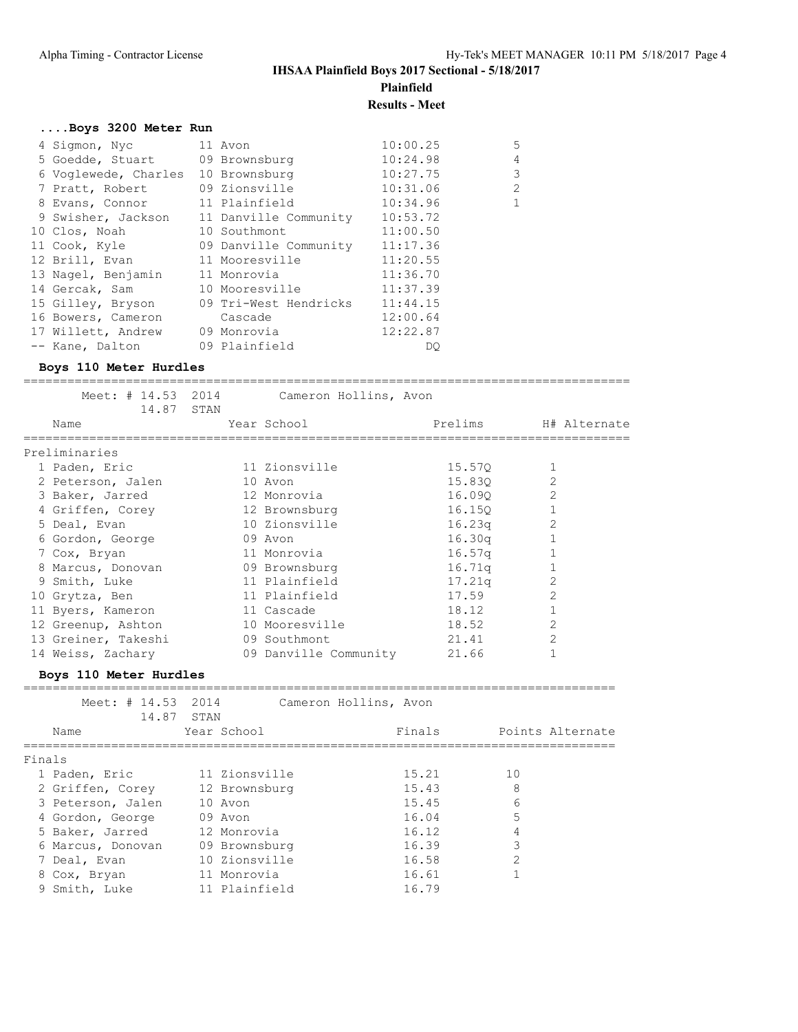**Plainfield**

**Results - Meet**

# **....Boys 3200 Meter Run**

| 4 Sigmon, Nyc                 | 11 Avon               | 10:00.25 | 5              |
|-------------------------------|-----------------------|----------|----------------|
| 5 Goedde, Stuart              | 09 Brownsburg         | 10:24.98 | $\overline{4}$ |
| 6 Voglewede, Charles          | 10 Brownsburg         | 10:27.75 | 3              |
| 7 Pratt, Robert               | 09 Zionsville         | 10:31.06 | $\overline{2}$ |
| 8 Evans, Connor 11 Plainfield |                       | 10:34.96 | $\mathbf{1}$   |
| 9 Swisher, Jackson            | 11 Danville Community | 10:53.72 |                |
| 10 Clos, Noah                 | 10 Southmont          | 11:00.50 |                |
| 11 Cook, Kyle                 | 09 Danville Community | 11:17.36 |                |
| 12 Brill, Evan                | 11 Mooresville        | 11:20.55 |                |
| 13 Nagel, Benjamin            | 11 Monrovia           | 11:36.70 |                |
| 14 Gercak, Sam                | 10 Mooresville        | 11:37.39 |                |
| 15 Gilley, Bryson             | 09 Tri-West Hendricks | 11:44.15 |                |
| 16 Bowers, Cameron            | Cascade               | 12:00.64 |                |
| 17 Willett, Andrew            | 09 Monrovia           | 12:22.87 |                |
| -- Kane, Dalton               | 09 Plainfield         | DO       |                |

### **Boys 110 Meter Hurdles**

| 14.87 STAN                       |            | Meet: # 14.53 2014 Cameron Hollins, Avon |         |                |
|----------------------------------|------------|------------------------------------------|---------|----------------|
| Name                             |            | Year School                              | Prelims | H# Alternate   |
| Preliminaries                    |            |                                          |         |                |
| 1 Paden, Eric                    |            | 11 Zionsville                            | 15.570  | $\mathbf{1}$   |
| 2 Peterson, Jalen                |            | 10 Avon                                  | 15.830  | $\overline{2}$ |
| 3 Baker, Jarred 12 Monrovia      |            |                                          | 16.090  | $\overline{2}$ |
| 4 Griffen, Corey 12 Brownsburg   |            |                                          | 16.150  | $\mathbf{1}$   |
| 5 Deal, Evan                     |            | 10 Zionsville                            | 16.23q  | 2              |
| 6 Gordon, George                 | 09 Avon    |                                          | 16.30q  |                |
| 7 Cox, Bryan                     |            | 11 Monrovia                              | 16.57q  | $\mathbf 1$    |
| 8 Marcus, Donovan 69 Brownsburg  |            |                                          | 16.71q  |                |
| 9 Smith, Luke                    |            | 11 Plainfield                            | 17.21q  | $\overline{2}$ |
| 10 Grytza, Ben                   |            | 11 Plainfield                            | 17.59   | 2              |
| 11 Byers, Kameron                | 11 Cascade |                                          | 18.12   | 1              |
| 12 Greenup, Ashton               |            | 10 Mooresville                           | 18.52   | $\overline{2}$ |
| 13 Greiner, Takeshi 69 Southmont |            |                                          | 21.41   | $\overline{2}$ |
| 14 Weiss, Zachary                |            | 09 Danville Community                    | 21.66   | 1              |
| Boys 110 Meter Hurdles           |            |                                          |         |                |

================================================================================= Meet: # 14.53 2014 Cameron Hollins, Avon

|        | 14.87             | STAN |               |        |                  |
|--------|-------------------|------|---------------|--------|------------------|
|        | Name              |      | Year School   | Finals | Points Alternate |
| Finals |                   |      |               |        |                  |
|        | 1 Paden, Eric     |      | 11 Zionsville | 15.21  | 10               |
|        | 2 Griffen, Corey  |      | 12 Brownsburg | 15.43  | 8                |
|        | 3 Peterson, Jalen |      | 10 Avon       | 15.45  | 6                |
|        | 4 Gordon, George  |      | 09 Avon       | 16.04  | 5                |
|        | 5 Baker, Jarred   |      | 12 Monrovia   | 16.12  | 4                |
|        | 6 Marcus, Donovan |      | 09 Brownsburg | 16.39  | 3                |
|        | 7 Deal, Evan      |      | 10 Zionsville | 16.58  | $\overline{2}$   |
|        | 8 Cox, Bryan      |      | 11 Monrovia   | 16.61  |                  |
|        | 9 Smith, Luke     |      | 11 Plainfield | 16.79  |                  |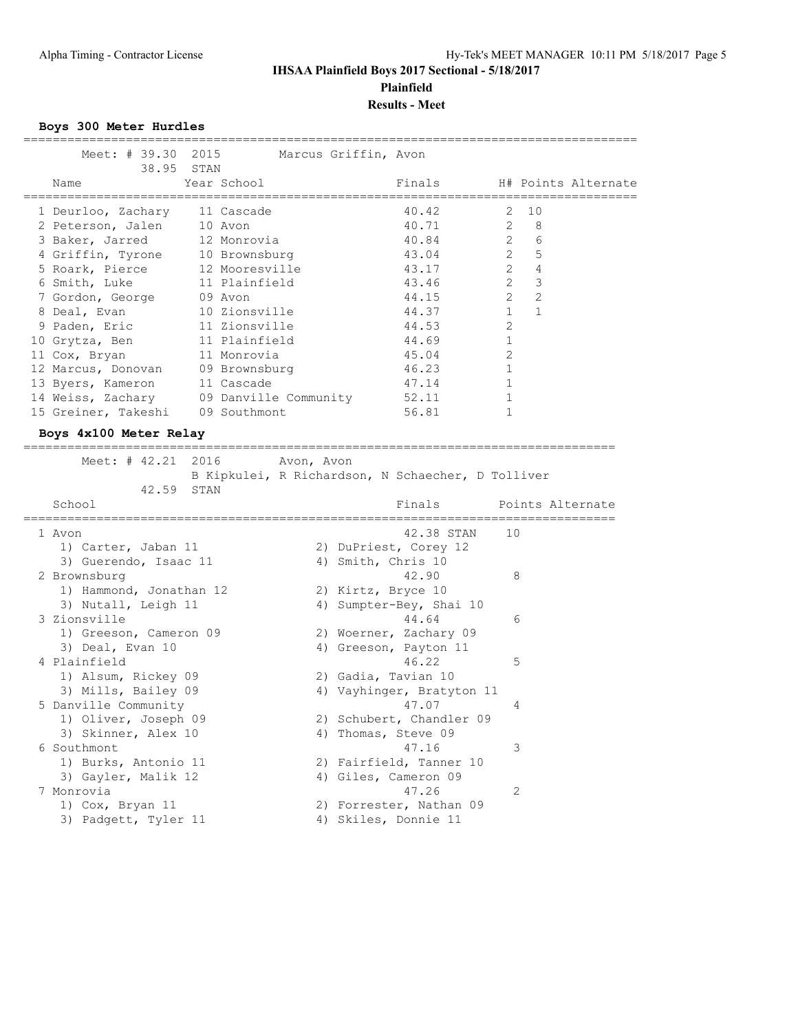### **IHSAA Plainfield Boys 2017 Sectional - 5/18/2017 Plainfield Results - Meet**

### **Boys 300 Meter Hurdles**

| Meet: # 39.30 2015 Marcus Griffin, Avon<br>38.95 STAN |             |  |       |                         |                |                            |
|-------------------------------------------------------|-------------|--|-------|-------------------------|----------------|----------------------------|
| Name                                                  | Year School |  |       |                         |                | Finals H# Points Alternate |
|                                                       |             |  |       |                         |                |                            |
| 1 Deurloo, Zachary 11 Cascade                         |             |  | 40.42 |                         | 2 10           |                            |
| 2 Peterson, Jalen 10 Avon                             |             |  |       | 40.71 2 8               |                |                            |
| 3 Baker, Jarred 12 Monrovia                           |             |  |       | 40.84 2                 | 6              |                            |
| 4 Griffin, Tyrone 10 Brownsburg                       |             |  |       | 43.04 2 5               |                |                            |
| 5 Roark, Pierce 12 Mooresville                        |             |  |       | $\overline{2}$<br>43.17 | $\overline{4}$ |                            |
| 6 Smith, Luke 11 Plainfield                           |             |  |       | $\overline{2}$<br>43.46 | $\mathcal{E}$  |                            |
| 7 Gordon, George 09 Avon                              |             |  | 44.15 | $2^{\circ}$             | 2              |                            |
| 8 Deal, Evan 10 Zionsville                            |             |  |       | 1<br>44.37              | $\mathbf{1}$   |                            |
| 9 Paden, Eric 11 Zionsville                           |             |  | 44.53 | $\mathcal{L}$           |                |                            |
| 10 Grytza, Ben 11 Plainfield                          |             |  | 44.69 |                         |                |                            |
| 11 Cox, Bryan 11 Monrovia                             |             |  | 45.04 | $\mathcal{L}$           |                |                            |
| 12 Marcus, Donovan 09 Brownsburg                      |             |  | 46.23 |                         |                |                            |
| 13 Byers, Kameron 11 Cascade                          |             |  | 47.14 |                         |                |                            |
| 14 Weiss, Zachary 09 Danville Community               |             |  | 52.11 |                         |                |                            |
| 15 Greiner, Takeshi 09 Southmont                      |             |  | 56.81 |                         |                |                            |

### **Boys 4x100 Meter Relay**

=================================================================================

| Meet: # 42.21 2016<br>42.59 STAN | Avon, Avon<br>B Kipkulei, R Richardson, N Schaecher, D Tolliver |
|----------------------------------|-----------------------------------------------------------------|
| School                           | Finals<br>Points Alternate                                      |
| 1 Avon                           | 10<br>42.38 STAN                                                |
| 1) Carter, Jaban 11              | 2) DuPriest, Corey 12                                           |
| 3) Guerendo, Isaac 11            | 4) Smith, Chris 10                                              |
| 2 Brownsburg                     | 8<br>42.90                                                      |
| 1) Hammond, Jonathan 12          | 2) Kirtz, Bryce 10                                              |
| 3) Nutall, Leigh 11              | Sumpter-Bey, Shai 10<br>4)                                      |
| 3 Zionsville                     | 44.64<br>6                                                      |
| 1) Greeson, Cameron 09           | 2) Woerner, Zachary 09                                          |
| 3) Deal, Evan 10                 | 4) Greeson, Payton 11                                           |
| 4 Plainfield                     | 5<br>46.22                                                      |
| 1) Alsum, Rickey 09              | 2) Gadia, Tavian 10                                             |
| 3) Mills, Bailey 09              | 4) Vayhinger, Bratyton 11                                       |
| 5 Danville Community             | 47.07<br>4                                                      |
| 1) Oliver, Joseph 09             | 2) Schubert, Chandler 09                                        |
| 3) Skinner, Alex 10              | 4) Thomas, Steve 09                                             |
| 6 Southmont                      | 3<br>47.16                                                      |
| 1) Burks, Antonio 11             | 2) Fairfield, Tanner 10                                         |
| 3) Gayler, Malik 12              | 4) Giles, Cameron 09                                            |
| 7 Monrovia                       | 47.26<br>2                                                      |
| 1) Cox, Bryan 11                 | 2) Forrester, Nathan 09                                         |
| 3) Padgett, Tyler 11             | 4) Skiles, Donnie 11                                            |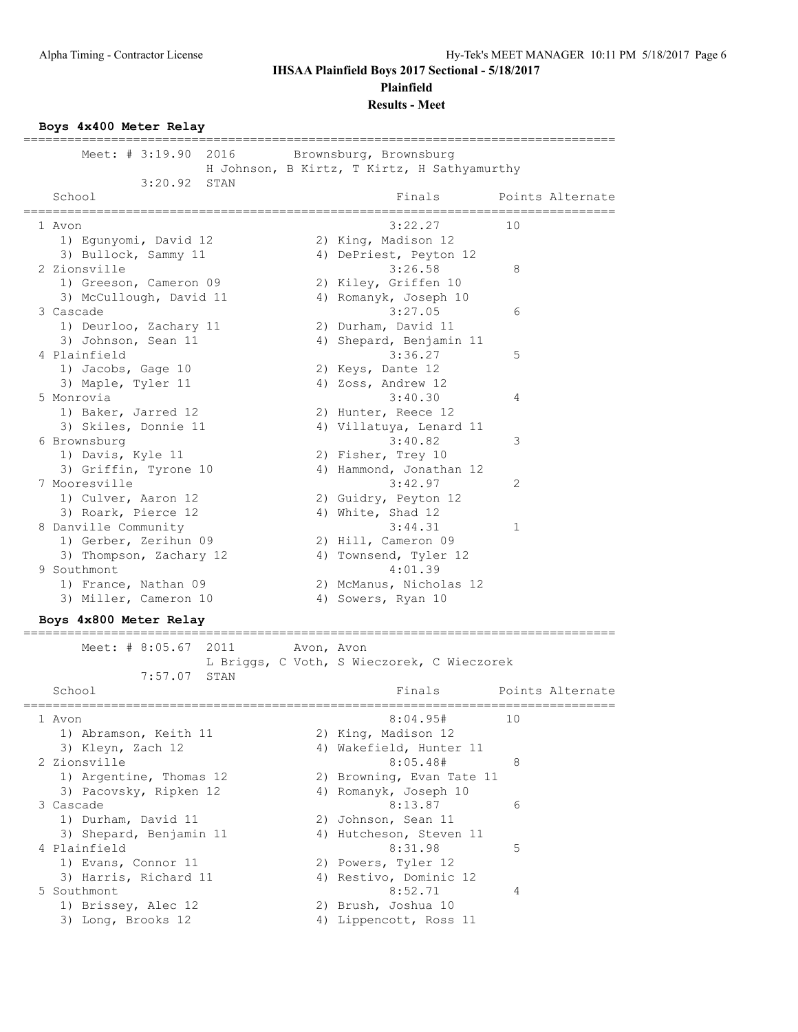**Plainfield**

**Results - Meet**

#### **Boys 4x400 Meter Relay**

================================================================================= Meet: # 3:19.90 2016 Brownsburg, Brownsburg H Johnson, B Kirtz, T Kirtz, H Sathyamurthy 3:20.92 STAN<br>School Finals Points Alternate ================================================================================= 1 Avon 3:22.27 10 1) Egunyomi, David 12 2) King, Madison 12 3) Bullock, Sammy 11 4) DePriest, Peyton 12 2 Zionsville 3:26.58 8 1) Greeson, Cameron 09 2) Kiley, Griffen 10 3) McCullough, David 11 4) Romanyk, Joseph 10 3 Cascade 3:27.05 6 1) Deurloo, Zachary 11 (2) Durham, David 11 3) Johnson, Sean 11 4) Shepard, Benjamin 11 4 Plainfield 3:36.27 5 1) Jacobs, Gage 10 2) Keys, Dante 12 3) Maple, Tyler 11 4) Zoss, Andrew 12 5 Monrovia 3:40.30 4 1) Baker, Jarred 12 2) Hunter, Reece 12 3) Skiles, Donnie 11 4) Villatuya, Lenard 11 6 Brownsburg 3:40.82 3 1) Davis, Kyle 11 2) Fisher, Trey 10 3) Griffin, Tyrone 10 4) Hammond, Jonathan 12 7 Mooresville 3:42.97 2 1) Culver, Aaron 12 2) Guidry, Peyton 12 3) Roark, Pierce 12 4) White, Shad 12 8 Danville Community 3:44.31 1 1) Gerber, Zerihun 09 2) Hill, Cameron 09 3) Thompson, Zachary 12  $\hskip 40pt 4$  Townsend, Tyler 12 9 Southmont 4:01.39 1) France, Nathan 09 2) McManus, Nicholas 12 3) Miller, Cameron 10 (4) Sowers, Ryan 10 **Boys 4x800 Meter Relay** ================================================================================= Meet: # 8:05.67 2011 Avon, Avon L Briggs, C Voth, S Wieczorek, C Wieczorek 7:57.07 STAN<br>School Finals Points Alternate ================================================================================= 1 Avon 8:04.95# 10 1) Abramson, Keith 11 2) King, Madison 12 3) Kleyn, Zach 12 4) Wakefield, Hunter 11

| <b>DONOT</b>            |    | $F \perp H \rightarrow B$ | EUIHLO AIL |
|-------------------------|----|---------------------------|------------|
| 1 Avon                  |    | 8:04.95#                  | 10         |
| 1) Abramson, Keith 11   |    | 2) King, Madison 12       |            |
| 3) Kleyn, Zach 12       |    | 4) Wakefield, Hunter 11   |            |
| 2 Zionsville            |    | 8:05.48#                  | 8          |
| 1) Argentine, Thomas 12 |    | 2) Browning, Evan Tate 11 |            |
| 3) Pacovsky, Ripken 12  |    | 4) Romanyk, Joseph 10     |            |
| 3 Cascade               |    | 8:13.87                   | 6          |
| 1) Durham, David 11     |    | 2) Johnson, Sean 11       |            |
| 3) Shepard, Benjamin 11 |    | 4) Hutcheson, Steven 11   |            |
| 4 Plainfield            |    | 8:31.98                   | 5          |
| 1) Evans, Connor 11     |    | 2) Powers, Tyler 12       |            |
| 3) Harris, Richard 11   |    | 4) Restivo, Dominic 12    |            |
| 5 Southmont             |    | 8:52.71                   | 4          |
| 1) Brissey, Alec 12     | 2) | Brush, Joshua 10          |            |
| 3) Long, Brooks 12      |    | 4) Lippencott, Ross 11    |            |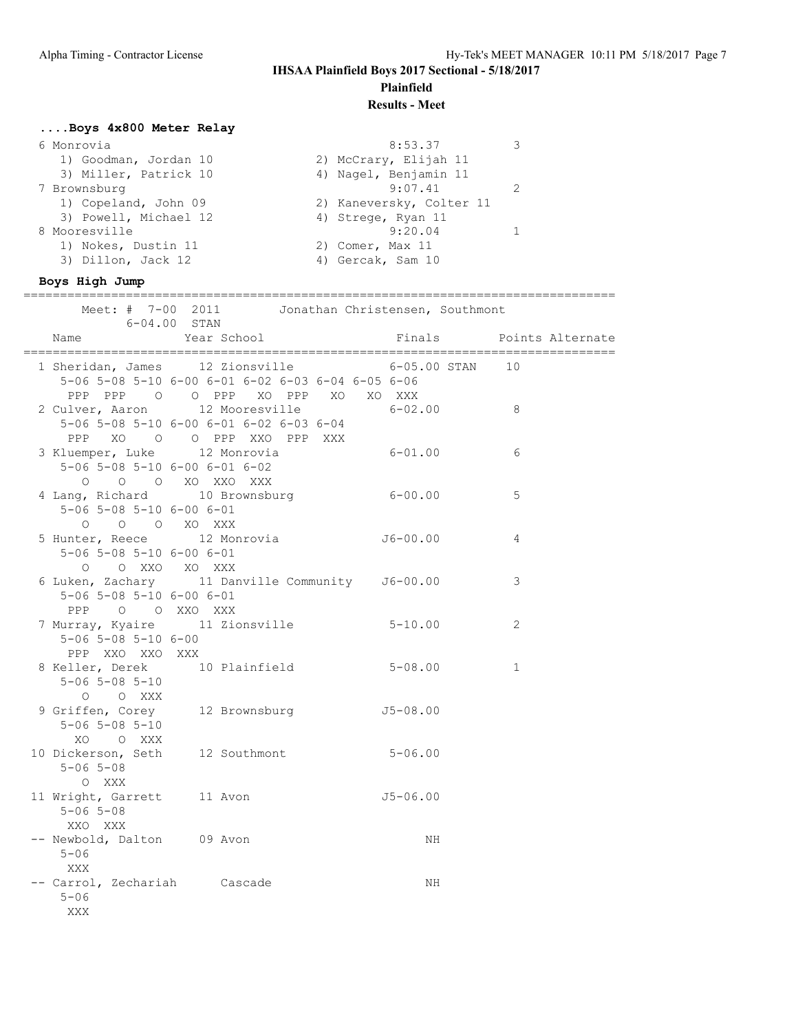# **Plainfield**

### **Results - Meet**

### **....Boys 4x800 Meter Relay**

| 6 Monrovia            | 8:53.37                  |  |
|-----------------------|--------------------------|--|
| 1) Goodman, Jordan 10 | 2) McCrary, Elijah 11    |  |
| 3) Miller, Patrick 10 | 4) Nagel, Benjamin 11    |  |
| 7 Brownsburg          | 9:07.41                  |  |
| 1) Copeland, John 09  | 2) Kaneversky, Colter 11 |  |
| 3) Powell, Michael 12 | 4) Strege, Ryan 11       |  |
| 8 Mooresville         | 9:20.04                  |  |
| 1) Nokes, Dustin 11   | 2) Comer, Max 11         |  |
| 3) Dillon, Jack 12    | 4) Gercak, Sam 10        |  |
|                       |                          |  |

#### **Boys High Jump**

================================================================================= Meet: # 7-00 2011 Jonathan Christensen, Southmont 6-04.00 STAN Name Year School Finals Points Alternate ================================================================================= 1 Sheridan, James 12 Zionsville 6-05.00 STAN 10 5-06 5-08 5-10 6-00 6-01 6-02 6-03 6-04 6-05 6-06 PPP PPP O O PPP XO PPP XO XO XXX 2 Culver, Aaron 12 Mooresville 6-02.00 8 5-06 5-08 5-10 6-00 6-01 6-02 6-03 6-04 PPP XO O O PPP XXO PPP XXX 3 Kluemper, Luke 12 Monrovia 6-01.00 6 5-06 5-08 5-10 6-00 6-01 6-02 O O O XO XXO XXX 4 Lang, Richard 10 Brownsburg 6-00.00 5 5-06 5-08 5-10 6-00 6-01 O O O XO XXX 5 Hunter, Reece 12 Monrovia J6-00.00 4 5-06 5-08 5-10 6-00 6-01 O O XXO XO XXX 6 Luken, Zachary 11 Danville Community J6-00.00 3 5-06 5-08 5-10 6-00 6-01 PPP O O XXO XXX 7 Murray, Kyaire 11 Zionsville 5-10.00 2 5-06 5-08 5-10 6-00 PPP XXO XXO XXX 8 Keller, Derek 10 Plainfield 5-08.00 1 5-06 5-08 5-10 O O XXX 9 Griffen, Corey 12 Brownsburg 15-08.00 5-06 5-08 5-10 XO O XXX 10 Dickerson, Seth 12 Southmont 5-06.00 5-06 5-08 O XXX 11 Wright, Garrett 11 Avon 15-06.00 5-06 5-08 XXO XXX -- Newbold, Dalton 09 Avon NH 5-06 XXX -- Carrol, Zechariah Cascade NH 5-06 XXX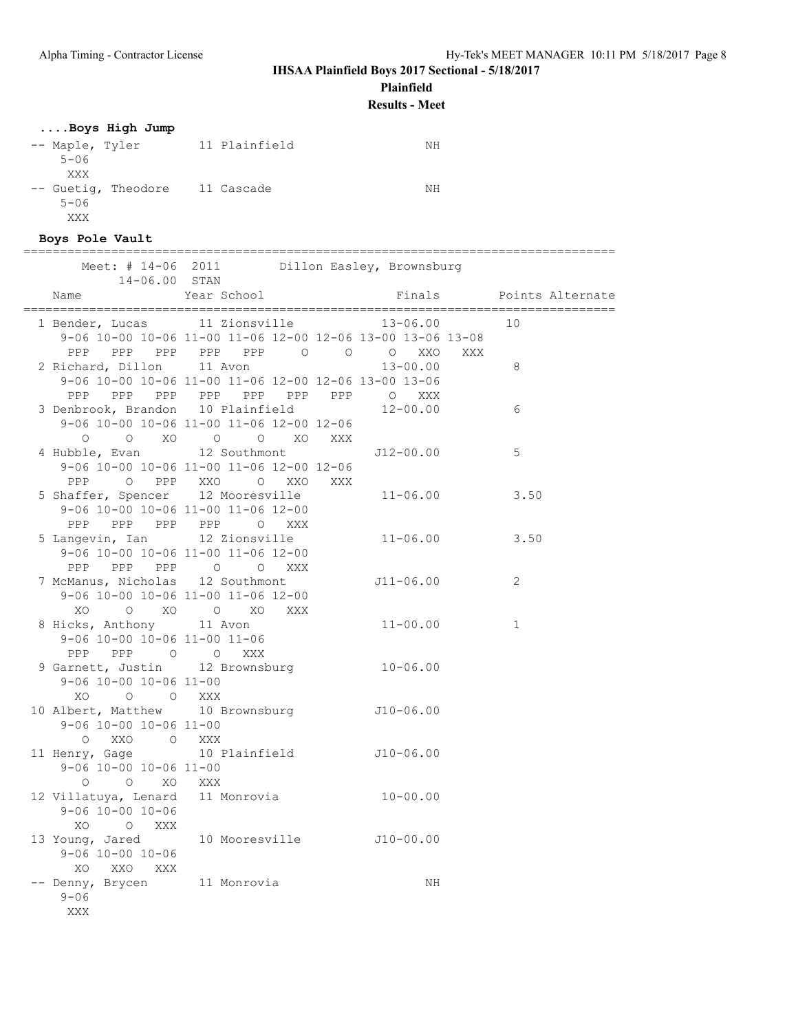**Plainfield**

**Results - Meet**

# **....Boys High Jump**

| -- Maple, Tyler                | 11 Plainfield | NΗ |
|--------------------------------|---------------|----|
| $5 - 06$                       |               |    |
| XXX                            |               |    |
| -- Guetig, Theodore 11 Cascade |               | NΗ |
| $5 - 06$                       |               |    |
| XXX                            |               |    |

### **Boys Pole Vault**

### =================================================================================

| Meet: $\#$ 14-06 2011<br>14-06.00 STAN                                                               |                                                                                    | Dillon Easley, Brownsburg                                                                                    |                  |
|------------------------------------------------------------------------------------------------------|------------------------------------------------------------------------------------|--------------------------------------------------------------------------------------------------------------|------------------|
| Name                                                                                                 | Year School                                                                        | Finals                                                                                                       | Points Alternate |
| 1 Bender, Lucas 11 Zionsville                                                                        |                                                                                    | $13 - 06.00$<br>9-06 10-00 10-06 11-00 11-06 12-00 12-06 13-00 13-06 13-08                                   | 10               |
| 2 Richard, Dillon 11 Avon                                                                            |                                                                                    | PPP PPP PPP PPP PPP 0 0 0 XXO<br>XXX<br>$13 - 00.00$<br>9-06 10-00 10-06 11-00 11-06 12-00 12-06 13-00 13-06 | 8                |
| 3 Denbrook, Brandon 10 Plainfield                                                                    | 9-06 10-00 10-06 11-00 11-06 12-00 12-06                                           | PPP PPP PPP PPP PPP PPP PPP O XXX<br>$12 - 00.00$                                                            | 6                |
| $\circ$<br>4 Hubble, Evan 12 Southmont                                                               | O XO O O XO XXX<br>9-06 10-00 10-06 11-00 11-06 12-00 12-06                        | J12-00.00                                                                                                    | 5                |
| 5 Shaffer, Spencer 12 Mooresville                                                                    | PPP 0 PPP XXO 0 XXO XXX<br>9-06 10-00 10-06 11-00 11-06 12-00                      | $11 - 06.00$                                                                                                 | 3.50             |
| 5 Langevin, Ian 12 Zionsville                                                                        | PPP PPP PPP PPP O XXX<br>9-06 10-00 10-06 11-00 11-06 12-00<br>PPP PPP PPP 0 0 XXX | $11 - 06.00$                                                                                                 | 3.50             |
| 7 McManus, Nicholas 12 Southmont                                                                     | 9-06 10-00 10-06 11-00 11-06 12-00<br>XO O XO O XO XXX                             | J11-06.00                                                                                                    | 2                |
| 8 Hicks, Anthony 11 Avon<br>9-06 10-00 10-06 11-00 11-06<br>PPP PPP 0 0 XXX                          |                                                                                    | $11 - 00.00$                                                                                                 | $\mathbf{1}$     |
| 9 Garnett, Justin 12 Brownsburg 10-06.00<br>$9 - 06$ $10 - 00$ $10 - 06$ $11 - 00$<br>XO.<br>O O XXX |                                                                                    |                                                                                                              |                  |
| 10 Albert, Matthew 10 Brownsburg 510-06.00<br>9-06 10-00 10-06 11-00<br>O XXO O XXX                  |                                                                                    |                                                                                                              |                  |
| 11 Henry, Gage<br>9-06 10-00 10-06 11-00<br>$O$ $O$ $XO$ $XXX$                                       | 10 Plainfield 510-06.00                                                            |                                                                                                              |                  |
| 12 Villatuya, Lenard 11 Monrovia 10-00.00<br>$9 - 06$ 10-00 10-06<br>XO O XXX                        |                                                                                    |                                                                                                              |                  |
| 13 Young, Jared 10 Mooresville J10-00.00<br>$9 - 06$ 10-00 10-06<br>XO XXO XXX                       |                                                                                    |                                                                                                              |                  |
| -- Denny, Brycen 11 Monrovia<br>$9 - 06$<br>XXX                                                      |                                                                                    | NH                                                                                                           |                  |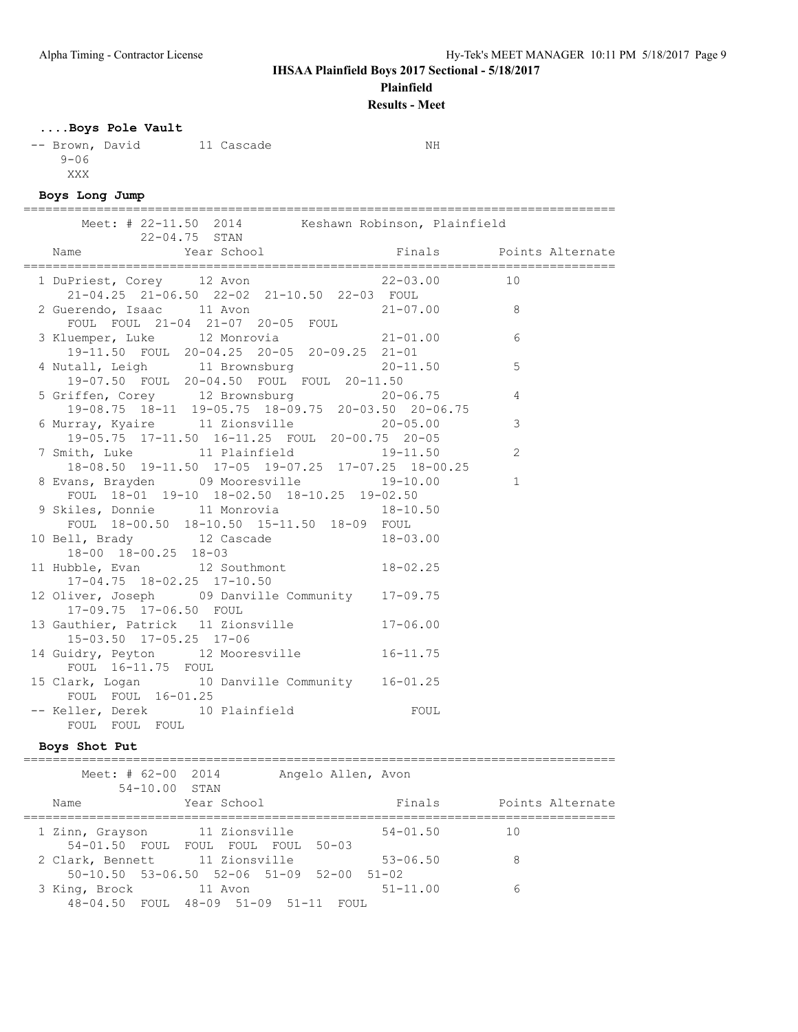**Plainfield**

**Results - Meet**

# **....Boys Pole Vault**

-- Brown, David 11 Cascade NH 9-06 XXX

# **Boys Long Jump**

| Meet: # 22-11.50 2014 Keshawn Robinson, Plainfield<br>22-04.75 STAN                            | =================================== |
|------------------------------------------------------------------------------------------------|-------------------------------------|
| Enals and Points Alternate<br>Name                                                             |                                     |
| 1 DuPriest, Corey 12 Avon 22-03.00 10<br>$21-04.25$ $21-06.50$ $22-02$ $21-10.50$ $22-03$ FOUL |                                     |
| FOUL FOUL 21-04 21-07 20-05 FOUL                                                               |                                     |
| 3 Kluemper, Luke 12 Monrovia 21-01.00<br>19-11.50 FOUL 20-04.25 20-05 20-09.25 21-01           | 6                                   |
| 4 Nutall, Leigh 11 Brownsburg 20-11.50<br>19-07.50 FOUL 20-04.50 FOUL FOUL 20-11.50            | 5                                   |
| 5 Griffen, Corey 12 Brownsburg 20-06.75<br>19-08.75 18-11 19-05.75 18-09.75 20-03.50 20-06.75  | $\overline{4}$                      |
| 6 Murray, Kyaire 11 Zionsville 20-05.00<br>19-05.75 17-11.50 16-11.25 FOUL 20-00.75 20-05      | 3                                   |
| 7 Smith, Luke 11 Plainfield 19-11.50<br>18-08.50 19-11.50 17-05 19-07.25 17-07.25 18-00.25     | 2                                   |
| 8 Evans, Brayden 09 Mooresville 19-10.00<br>FOUL 18-01 19-10 18-02.50 18-10.25 19-02.50        | $\mathbf{1}$                        |
| 9 Skiles, Donnie 11 Monrovia 18-10.50<br>FOUL 18-00.50 18-10.50 15-11.50 18-09 FOUL            |                                     |
| 10 Bell, Brady 12 Cascade 18-03.00<br>18-00 18-00.25 18-03                                     |                                     |
| 11 Hubble, Evan 12 Southmont 18-02.25<br>17-04.75 18-02.25 17-10.50                            |                                     |
| 12 Oliver, Joseph 09 Danville Community 17-09.75<br>17-09.75 17-06.50 FOUL                     |                                     |
| 13 Gauthier, Patrick 11 Zionsville 17-06.00<br>15-03.50 17-05.25 17-06                         |                                     |
| 14 Guidry, Peyton 12 Mooresville 16-11.75<br>FOUL 16-11.75 FOUL                                |                                     |
| 15 Clark, Logan 10 Danville Community 16-01.25<br>FOUL FOUL 16-01.25                           |                                     |
| -- Keller, Derek 10 Plainfield<br>FOUL<br>FOUL FOUL FOUL                                       |                                     |

### **Boys Shot Put**

| Meet: # $62-00$ 2014<br>54-10.00 STAN |                                                       | Angelo Allen, Avon |                  |
|---------------------------------------|-------------------------------------------------------|--------------------|------------------|
| Name                                  | Year School                                           | Finals             | Points Alternate |
| 1 Zinn, Grayson 11 Zionsville         |                                                       | $54 - 01.50$       | 10               |
| 2 Clark, Bennett 11 Zionsville        | 54-01.50 FOUL FOUL FOUL FOUL 50-03                    | $53 - 06.50$       | 8                |
| 3 King, Brock 11 Avon                 | $50-10.50$ $53-06.50$ $52-06$ $51-09$ $52-00$ $51-02$ | $51 - 11.00$       | 6                |
|                                       | 48-04.50 FOUL 48-09 51-09 51-11                       | FOUL.              |                  |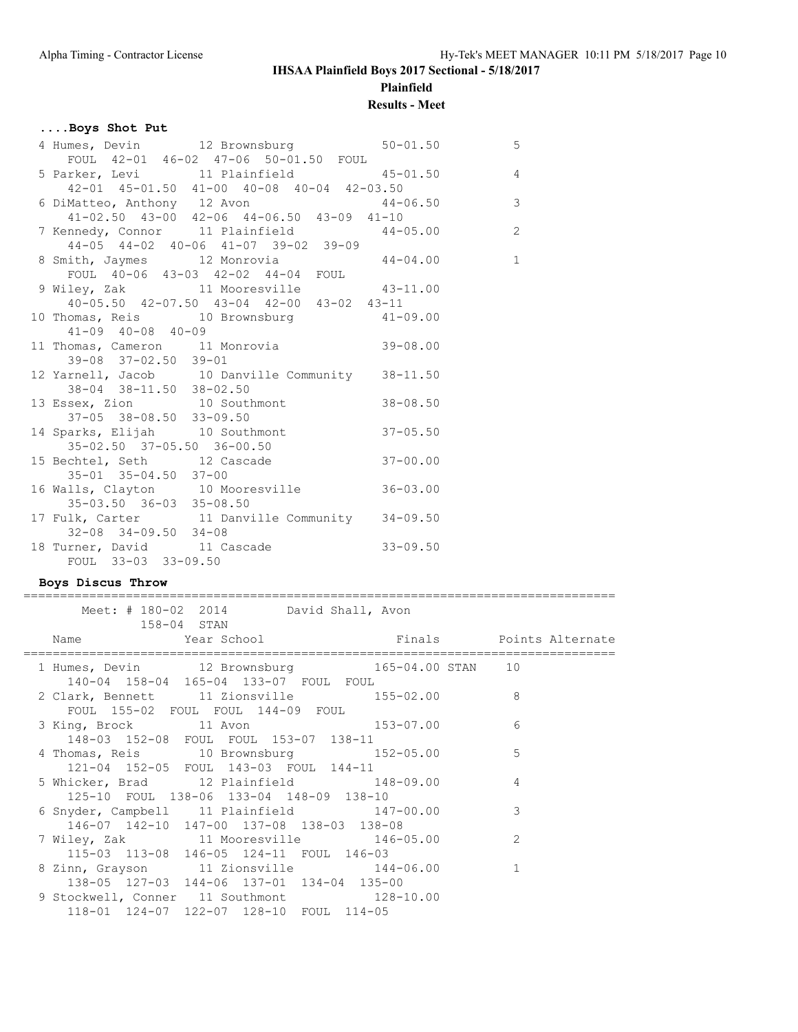# **IHSAA Plainfield Boys 2017 Sectional - 5/18/2017 Plainfield**

# **Results - Meet**

=================================================================================

# **....Boys Shot Put**

| 4 Humes, Devin 12 Brownsburg 50-01.50 50                                                                                                                                                                                                                          |  |
|-------------------------------------------------------------------------------------------------------------------------------------------------------------------------------------------------------------------------------------------------------------------|--|
|                                                                                                                                                                                                                                                                   |  |
|                                                                                                                                                                                                                                                                   |  |
| FOUL 42-01 46-02 47-06 50-01.50 FOUL<br>5 Parker, Levi 11 Plainfield 45-01.50 4<br>42-01 45-01.50 41-00 40-08 40-04 42-03.50<br>6 DiMatteo, Anthony 12 Avon 44-06.50 43-09 41-10<br>41-02.50 43-00 42-06 44-06.50 43-09 41-10                                     |  |
|                                                                                                                                                                                                                                                                   |  |
|                                                                                                                                                                                                                                                                   |  |
| $7 \text{ Kennedy}$ , Connor 11 Plainfield 44-05.00<br>$14.05 + 44.02 + 02.56$<br>$14.05 + 44.02 + 02.56$<br>$14.05 + 44.02 + 02.56$<br>$14.05 + 44.02 + 02.56$<br>$14.05 + 44.02 + 02.56$<br>$14.05 + 44.02 + 02.56$<br>$14.05 + 44.02 + 02.56$<br>$14.05 + 44.$ |  |
| 44-05 44-02 40-06 41-07 39-02 39-09                                                                                                                                                                                                                               |  |
| 8 Smith, Jaymes 12 Monrovia 44-04.00 1                                                                                                                                                                                                                            |  |
| FOUL 40-06 43-03 42-02 44-04 FOUL                                                                                                                                                                                                                                 |  |
|                                                                                                                                                                                                                                                                   |  |
| 9 Wiley, Zak 11 Mooresville 43-11.00<br>40-05.50 42-07.50 43-04 42-00 43-02 43-11                                                                                                                                                                                 |  |
| 10 Thomas, Reis 10 Brownsburg 41-09.00                                                                                                                                                                                                                            |  |
| $41 - 09$ $40 - 08$ $40 - 09$                                                                                                                                                                                                                                     |  |
| 11 Thomas, Cameron 11 Monrovia 39-08.00                                                                                                                                                                                                                           |  |
| 39-08 37-02.50 39-01                                                                                                                                                                                                                                              |  |
| 12 Yarnell, Jacob 10 Danville Community 38-11.50                                                                                                                                                                                                                  |  |
| 38-04 38-11.50 38-02.50                                                                                                                                                                                                                                           |  |
| 13 Essex, Zion 10 Southmont 38-08.50                                                                                                                                                                                                                              |  |
| 37-05 38-08.50 33-09.50                                                                                                                                                                                                                                           |  |
| 14 Sparks, Elijah 10 Southmont 37-05.50                                                                                                                                                                                                                           |  |
|                                                                                                                                                                                                                                                                   |  |
| 35-02.50 37-05.50 36-00.50<br>15 Bechtel, Seth 12 Cascade 37-00.00                                                                                                                                                                                                |  |
| 35-01 35-04.50 37-00                                                                                                                                                                                                                                              |  |
| 16 Walls, Clayton 10 Mooresville 36-03.00                                                                                                                                                                                                                         |  |
| 35-03.50 36-03 35-08.50                                                                                                                                                                                                                                           |  |
| 17 Fulk, Carter 11 Danville Community 34-09.50                                                                                                                                                                                                                    |  |
| $32-08$ $34-09.50$ $34-08$                                                                                                                                                                                                                                        |  |
| 18 Turner, David 11 Cascade 33-09.50                                                                                                                                                                                                                              |  |
| FOUL 33-03 33-09.50                                                                                                                                                                                                                                               |  |

### **Boys Discus Throw**

| Meet: # 180-02 2014 David Shall, Avon<br>158-04 STAN                                    |                |
|-----------------------------------------------------------------------------------------|----------------|
| Name   Year School   Year School   Finals   Points Alternate                            |                |
| 1 Humes, Devin 12 Brownsburg 165-04.00 STAN 10<br>140-04 158-04 165-04 133-07 FOUL FOUL |                |
| 2 Clark, Bennett 11 Zionsville 155-02.00<br>FOUL 155-02 FOUL FOUL 144-09 FOUL           | 8              |
| 3 King, Brock 11 Avon 153-07.00<br>148-03 152-08 FOUL FOUL 153-07 138-11                | 6              |
| 4 Thomas, Reis 10 Brownsburg 152-05.00<br>121-04 152-05 FOUL 143-03 FOUL 144-11         | 5              |
| 5 Whicker, Brad 12 Plainfield 148-09.00<br>125-10 FOUL 138-06 133-04 148-09 138-10      | $\overline{4}$ |
| 6 Snyder, Campbell 11 Plainfield 147-00.00<br>146-07 142-10 147-00 137-08 138-03 138-08 | 3              |
| 7 Wiley, Zak 11 Mooresville 146-05.00<br>115-03 113-08 146-05 124-11 FOUL 146-03        | 2              |
| 8 Zinn, Grayson 11 Zionsville 144-06.00<br>138-05 127-03 144-06 137-01 134-04 135-00    | $\mathbf{1}$   |
| 9 Stockwell, Conner 11 Southmont 128-10.00<br>118-01 124-07 122-07 128-10 FOUL 114-05   |                |